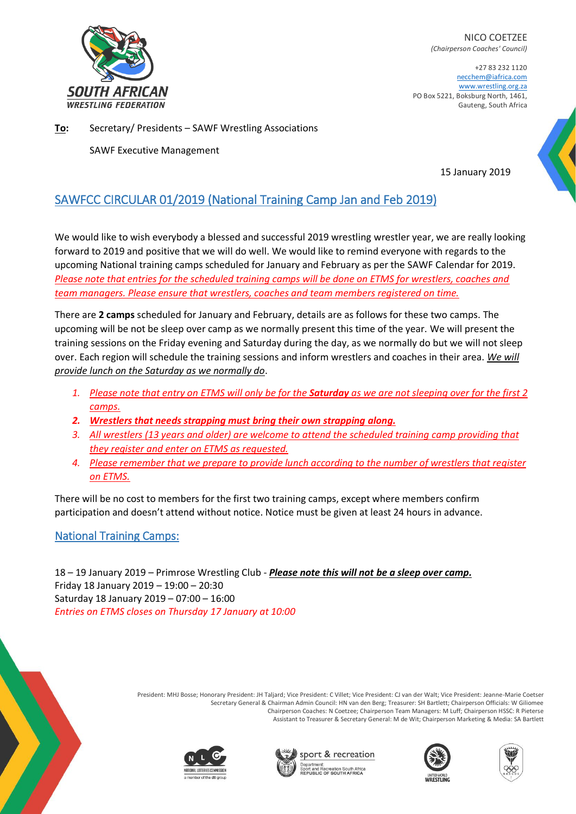

NICO COETZEE *(Chairperson Coaches' Council)*

+27 83 232 1120 necchem@iafrica.com [www.wrestling.org.za](http://www.wrestling.org.za/) PO Box 5221, Boksburg North, 1461, Gauteng, South Africa

**To:** Secretary/ Presidents – SAWF Wrestling Associations

SAWF Executive Management

15 January 2019

## SAWFCC CIRCULAR 01/2019 (National Training Camp Jan and Feb 2019)

We would like to wish everybody a blessed and successful 2019 wrestling wrestler year, we are really looking forward to 2019 and positive that we will do well. We would like to remind everyone with regards to the upcoming National training camps scheduled for January and February as per the SAWF Calendar for 2019. *Please note that entries for the scheduled training camps will be done on ETMS for wrestlers, coaches and team managers. Please ensure that wrestlers, coaches and team members registered on time.*

There are **2 camps** scheduled for January and February, details are as follows for these two camps. The upcoming will be not be sleep over camp as we normally present this time of the year. We will present the training sessions on the Friday evening and Saturday during the day, as we normally do but we will not sleep over. Each region will schedule the training sessions and inform wrestlers and coaches in their area. *We will provide lunch on the Saturday as we normally do*.

- *1. Please note that entry on ETMS will only be for the Saturday as we are not sleeping over for the first 2 camps.*
- *2. Wrestlers that needs strapping must bring their own strapping along.*
- *3. All wrestlers (13 years and older) are welcome to attend the scheduled training camp providing that they register and enter on ETMS as requested.*
- *4. Please remember that we prepare to provide lunch according to the number of wrestlers that register on ETMS.*

There will be no cost to members for the first two training camps, except where members confirm participation and doesn't attend without notice. Notice must be given at least 24 hours in advance.

## National Training Camps:

18 – 19 January 2019 – Primrose Wrestling Club - *Please note this will not be a sleep over camp.*  Friday 18 January 2019 – 19:00 – 20:30 Saturday 18 January 2019 – 07:00 – 16:00 *Entries on ETMS closes on Thursday 17 January at 10:00*

> President: MHJ Bosse; Honorary President: JH Taljard; Vice President: C Villet; Vice President: CJ van der Walt; Vice President: Jeanne-Marie Coetser Secretary General & Chairman Admin Council: HN van den Berg; Treasurer: SH Bartlett; Chairperson Officials: W Giliomee Chairperson Coaches: N Coetzee; Chairperson Team Managers: M Luff; Chairperson HSSC: R Pieterse Assistant to Treasurer & Secretary General: M de Wit; Chairperson Marketing & Media: SA Bartlett